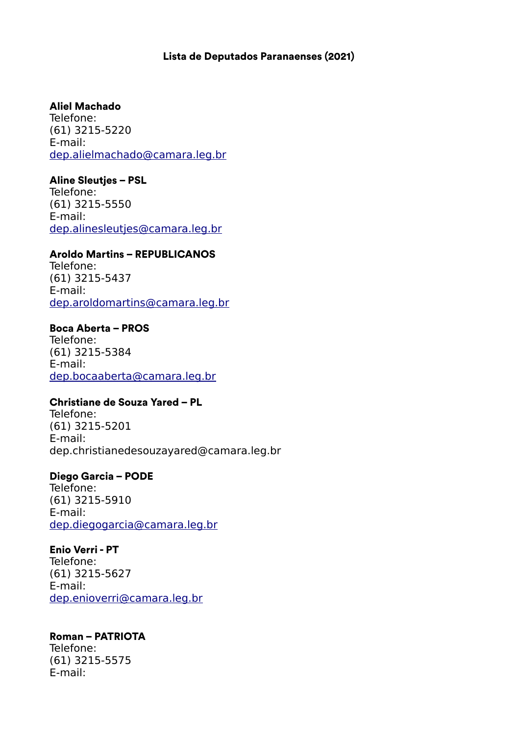## Lista de Deputados Paranaenses (2021)

#### Aliel Machado

Telefone: (61) 3215-5220 E-mail: [dep.alielmachado@camara.leg.br](mailto:dep.alielmachado@camara.leg.br)

#### Aline Sleutjes – PSL

Telefone: (61) 3215-5550 E-mail: [dep.alinesleutjes@camara.leg.br](mailto:dep.alinesleutjes@camara.leg.br)

#### Aroldo Martins – REPUBLICANOS

Telefone: (61) 3215-5437 E-mail: [dep.aroldomartins@camara.leg.br](mailto:dep.aroldomartins@camara.leg.br)

#### Boca Aberta – PROS

Telefone: (61) 3215-5384 E-mail: [dep.bocaaberta@camara.leg.br](mailto:dep.bocaaberta@camara.leg.br)

## Christiane de Souza Yared – PL

Telefone: (61) 3215-5201 E-mail: dep.christianedesouzayared@camara.leg.br

## Diego Garcia – PODE

Telefone: (61) 3215-5910 E-mail: [dep.diegogarcia@camara.leg.br](mailto:dep.diegogarcia@camara.leg.br)

#### Enio Verri - PT

Telefone: (61) 3215-5627 E-mail: [dep.enioverri@camara.leg.br](mailto:dep.enioverri@camara.leg.br)

## Roman – PATRIOTA

Telefone: (61) 3215-5575 E-mail: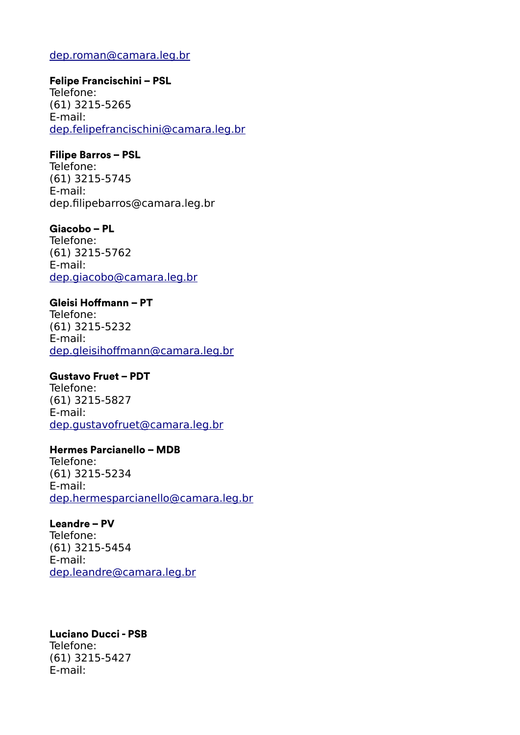## [dep.roman@camara.leg.br](mailto:dep.roman@camara.leg.br)

#### Felipe Francischini – PSL

Telefone: (61) 3215-5265 E-mail: [dep.felipefrancischini@camara.leg.br](mailto:dep.felipefrancischini@camara.leg.br)

## Filipe Barros – PSL

Telefone: (61) 3215-5745 E-mail: dep.filipebarros@camara.leg.br

## Giacobo – PL

Telefone: (61) 3215-5762 E-mail: [dep.giacobo@camara.leg.br](mailto:dep.giacobo@camara.leg.br)

# Gleisi Hoffmann – PT

Telefone: (61) 3215-5232 E-mail: [dep.gleisihoffmann@camara.leg.br](mailto:dep.gleisihoffmann@camara.leg.br)

## Gustavo Fruet – PDT

Telefone: (61) 3215-5827 E-mail: [dep.gustavofruet@camara.leg.br](mailto:dep.gustavofruet@camara.leg.br)

# Hermes Parcianello – MDB

Telefone: (61) 3215-5234 E-mail: [dep.hermesparcianello@camara.leg.br](mailto:dep.hermesparcianello@camara.leg.br)

Leandre – PV Telefone: (61) 3215-5454 E-mail: [dep.leandre@camara.leg.br](mailto:dep.leandre@camara.leg.br)

## Luciano Ducci - PSB

Telefone: (61) 3215-5427 E-mail: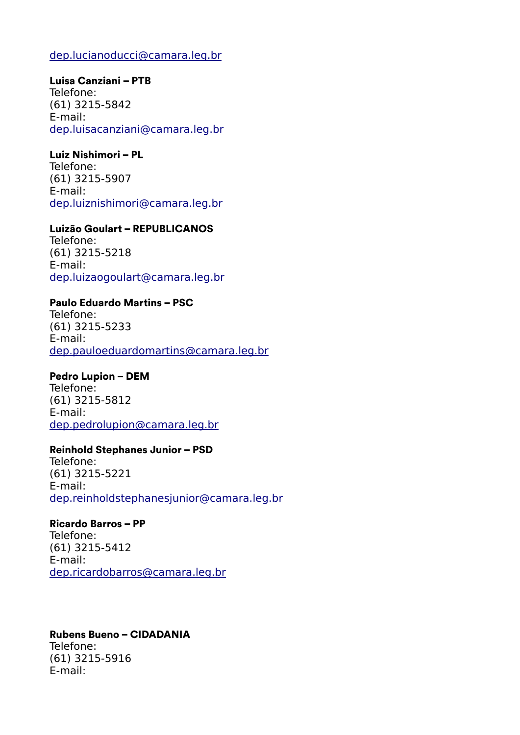# [dep.lucianoducci@camara.leg.br](mailto:dep.lucianoducci@camara.leg.br)

## Luisa Canziani – PTB

Telefone: (61) 3215-5842 E-mail: [dep.luisacanziani@camara.leg.br](mailto:dep.luisacanziani@camara.leg.br)

# Luiz Nishimori – PL

Telefone: (61) 3215-5907 E-mail: [dep.luiznishimori@camara.leg.br](mailto:dep.luiznishimori@camara.leg.br)

## Luizão Goulart – REPUBLICANOS

Telefone: (61) 3215-5218 E-mail: [dep.luizaogoulart@camara.leg.br](mailto:dep.luizaogoulart@camara.leg.br)

# Paulo Eduardo Martins – PSC

Telefone: (61) 3215-5233 E-mail: [dep.pauloeduardomartins@camara.leg.br](mailto:dep.pauloeduardomartins@camara.leg.br)

# Pedro Lupion – DEM

Telefone: (61) 3215-5812 E-mail: [dep.pedrolupion@camara.leg.br](mailto:dep.pedrolupion@camara.leg.br)

## Reinhold Stephanes Junior – PSD

Telefone: (61) 3215-5221 E-mail: [dep.reinholdstephanesjunior@camara.leg.br](mailto:dep.reinholdstephanesjunior@camara.leg.br)

#### Ricardo Barros – PP Telefone:

(61) 3215-5412 E-mail: [dep.ricardobarros@camara.leg.br](mailto:dep.ricardobarros@camara.leg.br)

## Rubens Bueno – CIDADANIA

Telefone: (61) 3215-5916 E-mail: